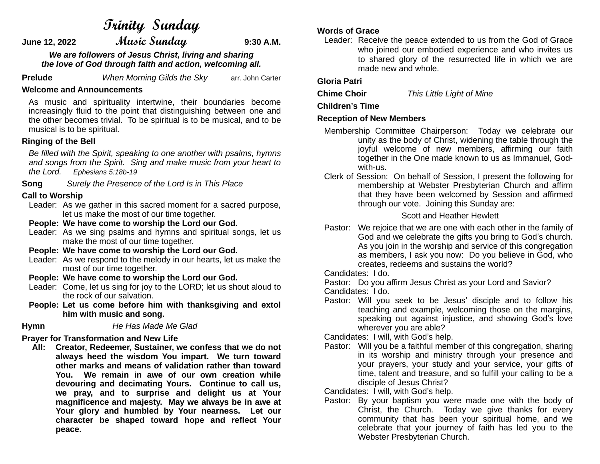# **Trinity Sunday**

**June 12, 2022 Music Sunday 9:30 A.M.**

*We are followers of Jesus Christ, living and sharing the love of God through faith and action, welcoming all.*

**Prelude** *When Morning Gilds the Sky* arr. John Carter

### **Welcome and Announcements**

As music and spirituality intertwine, their boundaries become increasingly fluid to the point that distinguishing between one and the other becomes trivial. To be spiritual is to be musical, and to be musical is to be spiritual.

### **Ringing of the Bell**

*Be filled with the Spirit, speaking to one another with psalms, hymns and songs from the Spirit. Sing and make music from your heart to the Lord. Ephesians 5:18b-19*

**Song** *Surely the Presence of the Lord Is in This Place*

# **Call to Worship**

 Leader: As we gather in this sacred moment for a sacred purpose, let us make the most of our time together.

**People: We have come to worship the Lord our God.**

Leader: As we sing psalms and hymns and spiritual songs, let us make the most of our time together.

**People: We have come to worship the Lord our God.**

- Leader: As we respond to the melody in our hearts, let us make the most of our time together.
- **People: We have come to worship the Lord our God.**
- Leader: Come, let us sing for joy to the LORD; let us shout aloud to the rock of our salvation.
- **People: Let us come before him with thanksgiving and extol him with music and song.**

**Hymn** *He Has Made Me Glad*

# **Prayer for Transformation and New Life**

 **All: Creator, Redeemer, Sustainer, we confess that we do not always heed the wisdom You impart. We turn toward other marks and means of validation rather than toward You. We remain in awe of our own creation while devouring and decimating Yours. Continue to call us, we pray, and to surprise and delight us at Your magnificence and majesty. May we always be in awe at Your glory and humbled by Your nearness. Let our character be shaped toward hope and reflect Your peace.**

### **Words of Grace**

Leader: Receive the peace extended to us from the God of Grace who joined our embodied experience and who invites us to shared glory of the resurrected life in which we are made new and whole.

### **Gloria Patri**

**Chime Choir** *This Little Light of Mine*

# **Children's Time**

### **Reception of New Members**

- Membership Committee Chairperson: Today we celebrate our unity as the body of Christ, widening the table through the joyful welcome of new members, affirming our faith together in the One made known to us as Immanuel, Godwith-us.
- Clerk of Session: On behalf of Session, I present the following for membership at Webster Presbyterian Church and affirm that they have been welcomed by Session and affirmed through our vote. Joining this Sunday are:

### Scott and Heather Hewlett

- Pastor: We rejoice that we are one with each other in the family of God and we celebrate the gifts you bring to God's church. As you join in the worship and service of this congregation as members, I ask you now: Do you believe in God, who creates, redeems and sustains the world?
- Candidates: I do.

Pastor: Do you affirm Jesus Christ as your Lord and Savior?

Candidates: I do.

 Pastor: Will you seek to be Jesus' disciple and to follow his teaching and example, welcoming those on the margins, speaking out against injustice, and showing God's love wherever you are able?

Candidates: I will, with God's help.

 Pastor: Will you be a faithful member of this congregation, sharing in its worship and ministry through your presence and your prayers, your study and your service, your gifts of time, talent and treasure, and so fulfill your calling to be a disciple of Jesus Christ?

Candidates: I will, with God's help.

 Pastor: By your baptism you were made one with the body of Christ, the Church. Today we give thanks for every community that has been your spiritual home, and we celebrate that your journey of faith has led you to the Webster Presbyterian Church.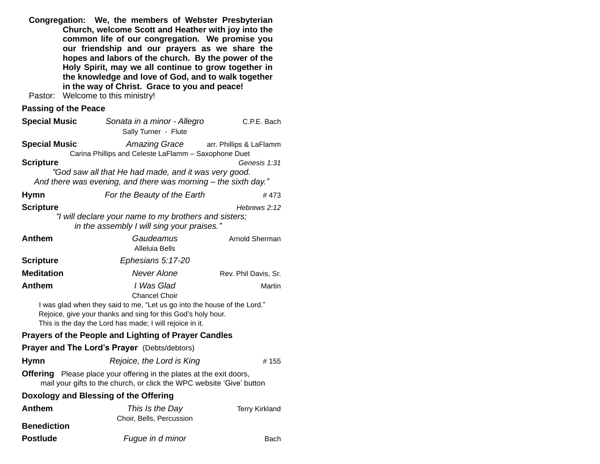**Congregation: We, the members of Webster Presbyterian Church, welcome Scott and Heather with joy into the common life of our congregation. We promise you our friendship and our prayers as we share the hopes and labors of the church. By the power of the Holy Spirit, may we all continue to grow together in the knowledge and love of God, and to walk together in the way of Christ. Grace to you and peace!**

Pastor: Welcome to this ministry!

# **Passing of the Peace**

| <b>Special Music</b>                | Sonata in a minor - Allegro<br>Sally Turner - Flute                                                                                                                                                                                        | C.P.E. Bach             |
|-------------------------------------|--------------------------------------------------------------------------------------------------------------------------------------------------------------------------------------------------------------------------------------------|-------------------------|
| <b>Special Music</b>                | <b>Amazing Grace</b><br>Carina Phillips and Celeste LaFlamm - Saxophone Duet                                                                                                                                                               | arr. Phillips & LaFlamm |
| <b>Scripture</b>                    | "God saw all that He had made, and it was very good.<br>And there was evening, and there was morning – the sixth day."                                                                                                                     | Genesis 1:31            |
| <b>Hymn</b>                         | For the Beauty of the Earth                                                                                                                                                                                                                | #473                    |
| <b>Scripture</b>                    | "I will declare your name to my brothers and sisters;<br>in the assembly I will sing your praises."                                                                                                                                        | Hebrews 2:12            |
| <b>Anthem</b>                       | Gaudeamus<br><b>Alleluia Bells</b>                                                                                                                                                                                                         | Arnold Sherman          |
| <b>Scripture</b>                    | Ephesians 5:17-20                                                                                                                                                                                                                          |                         |
| <b>Meditation</b>                   | <b>Never Alone</b>                                                                                                                                                                                                                         | Rev. Phil Davis, Sr.    |
| <b>Anthem</b>                       | I Was Glad<br><b>Chancel Choir</b><br>I was glad when they said to me, "Let us go into the house of the Lord."<br>Rejoice, give your thanks and sing for this God's holy hour.<br>This is the day the Lord has made; I will rejoice in it. | Martin                  |
|                                     | <b>Prayers of the People and Lighting of Prayer Candles</b>                                                                                                                                                                                |                         |
|                                     | <b>Prayer and The Lord's Prayer (Debts/debtors)</b>                                                                                                                                                                                        |                         |
| <b>Hymn</b>                         | Rejoice, the Lord is King                                                                                                                                                                                                                  | #155                    |
|                                     | <b>Offering</b> Please place your offering in the plates at the exit doors,<br>mail your gifts to the church, or click the WPC website 'Give' button                                                                                       |                         |
|                                     | Doxology and Blessing of the Offering                                                                                                                                                                                                      |                         |
| <b>Anthem</b><br><b>Benediction</b> | This Is the Day<br>Choir, Bells, Percussion                                                                                                                                                                                                | <b>Terry Kirkland</b>   |
| <b>Postlude</b>                     | Fugue in d minor                                                                                                                                                                                                                           | Bach                    |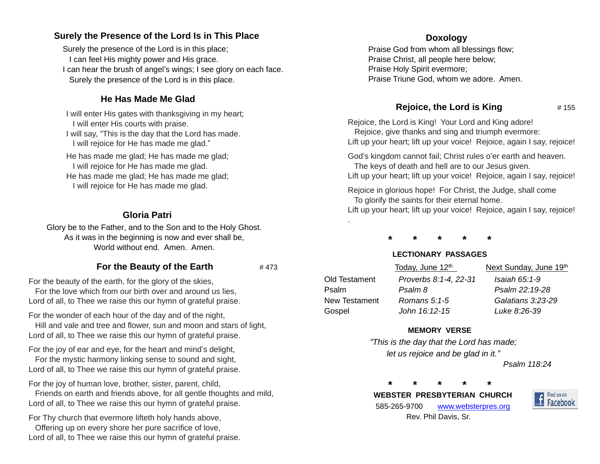# **Surely the Presence of the Lord Is in This Place**

Surely the presence of the Lord is in this place; I can feel His mighty power and His grace. I can hear the brush of angel's wings; I see glory on each face. Surely the presence of the Lord is in this place.

# **He Has Made Me Glad**

I will enter His gates with thanksgiving in my heart; I will enter His courts with praise. I will say, "This is the day that the Lord has made. I will rejoice for He has made me glad."

He has made me glad; He has made me glad; I will rejoice for He has made me glad. He has made me glad; He has made me glad; I will rejoice for He has made me glad.

# **Gloria Patri**

Glory be to the Father, and to the Son and to the Holy Ghost. As it was in the beginning is now and ever shall be, World without end. Amen. Amen.

# **For the Beauty of the Earth**  $\#473$

For the beauty of the earth, for the glory of the skies,

 For the love which from our birth over and around us lies, Lord of all, to Thee we raise this our hymn of grateful praise.

For the wonder of each hour of the day and of the night,

 Hill and vale and tree and flower, sun and moon and stars of light, Lord of all, to Thee we raise this our hymn of grateful praise.

For the joy of ear and eye, for the heart and mind's delight,

 For the mystic harmony linking sense to sound and sight, Lord of all, to Thee we raise this our hymn of grateful praise.

For the joy of human love, brother, sister, parent, child,

 Friends on earth and friends above, for all gentle thoughts and mild, Lord of all, to Thee we raise this our hymn of grateful praise.

For Thy church that evermore lifteth holy hands above,

 Offering up on every shore her pure sacrifice of love, Lord of all, to Thee we raise this our hymn of grateful praise.

# **Doxology**

Praise God from whom all blessings flow; Praise Christ, all people here below; Praise Holy Spirit evermore; Praise Triune God, whom we adore. Amen.

# **Rejoice, the Lord is King**  $# 155$

Rejoice, the Lord is King! Your Lord and King adore! Rejoice, give thanks and sing and triumph evermore: Lift up your heart; lift up your voice! Rejoice, again I say, rejoice!

God's kingdom cannot fail; Christ rules o'er earth and heaven. The keys of death and hell are to our Jesus given.

Lift up your heart; lift up your voice! Rejoice, again I say, rejoice!

Rejoice in glorious hope! For Christ, the Judge, shall come To glorify the saints for their eternal home.

Lift up your heart; lift up your voice! Rejoice, again I say, rejoice!

**\* \* \* \* \***

.

# **LECTIONARY PASSAGES**

|               | Today, June 12th      | Next Sunday, June 19th |
|---------------|-----------------------|------------------------|
| Old Testament | Proverbs 8:1-4, 22-31 | Isaiah 65:1-9          |
| Psalm         | Psalm 8               | Psalm 22:19-28         |
| New Testament | Romans 5:1-5          | Galatians 3:23-29      |
| Gospel        | John 16:12-15         | Luke 8:26-39           |

# **MEMORY VERSE**

*"This is the day that the Lord has made; let us rejoice and be glad in it."*

 *Psalm 118:24*

**\* \* \* \* \***

 **WEBSTER PRESBYTERIAN CHURCH** 585-265-9700 [www.websterpres.org](http://www.websterpres.org/) Rev. Phil Davis, Sr.